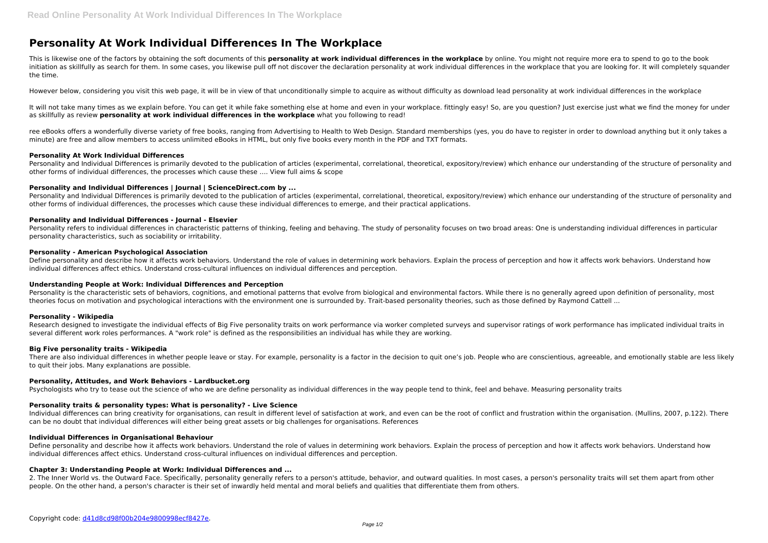# **Personality At Work Individual Differences In The Workplace**

This is likewise one of the factors by obtaining the soft documents of this **personality at work individual differences in the workplace** by online. You might not require more era to spend to go to the book initiation as skillfully as search for them. In some cases, you likewise pull off not discover the declaration personality at work individual differences in the workplace that you are looking for. It will completely squand the time.

It will not take many times as we explain before. You can get it while fake something else at home and even in your workplace. fittingly easy! So, are you question? Just exercise just what we find the money for under as skillfully as review **personality at work individual differences in the workplace** what you following to read!

However below, considering you visit this web page, it will be in view of that unconditionally simple to acquire as without difficulty as download lead personality at work individual differences in the workplace

ree eBooks offers a wonderfully diverse variety of free books, ranging from Advertising to Health to Web Design. Standard memberships (yes, you do have to register in order to download anything but it only takes a minute) are free and allow members to access unlimited eBooks in HTML, but only five books every month in the PDF and TXT formats.

Personality and Individual Differences is primarily devoted to the publication of articles (experimental, correlational, theoretical, expository/review) which enhance our understanding of the structure of personality and other forms of individual differences, the processes which cause these …. View full aims & scope

Personality and Individual Differences is primarily devoted to the publication of articles (experimental, correlational, theoretical, expository/review) which enhance our understanding of the structure of personality and other forms of individual differences, the processes which cause these individual differences to emerge, and their practical applications.

# **Personality At Work Individual Differences**

Personality is the characteristic sets of behaviors, cognitions, and emotional patterns that evolve from biological and environmental factors. While there is no generally agreed upon definition of personality, most theories focus on motivation and psychological interactions with the environment one is surrounded by. Trait-based personality theories, such as those defined by Raymond Cattell ...

## **Personality and Individual Differences | Journal | ScienceDirect.com by ...**

There are also individual differences in whether people leave or stay. For example, personality is a factor in the decision to quit one's job. People who are conscientious, agreeable, and emotionally stable are less likely to quit their jobs. Many explanations are possible.

## **Personality and Individual Differences - Journal - Elsevier**

Individual differences can bring creativity for organisations, can result in different level of satisfaction at work, and even can be the root of conflict and frustration within the organisation. (Mullins, 2007, p.122). Th can be no doubt that individual differences will either being great assets or big challenges for organisations. References

Personality refers to individual differences in characteristic patterns of thinking, feeling and behaving. The study of personality focuses on two broad areas: One is understanding individual differences in particular personality characteristics, such as sociability or irritability.

Define personality and describe how it affects work behaviors. Understand the role of values in determining work behaviors. Explain the process of perception and how it affects work behaviors. Understand how individual differences affect ethics. Understand cross-cultural influences on individual differences and perception.

## **Personality - American Psychological Association**

2. The Inner World vs. the Outward Face. Specifically, personality generally refers to a person's attitude, behavior, and outward qualities. In most cases, a person's personality traits will set them apart from other people. On the other hand, a person's character is their set of inwardly held mental and moral beliefs and qualities that differentiate them from others.

Define personality and describe how it affects work behaviors. Understand the role of values in determining work behaviors. Explain the process of perception and how it affects work behaviors. Understand how individual differences affect ethics. Understand cross-cultural influences on individual differences and perception.

# **Understanding People at Work: Individual Differences and Perception**

#### **Personality - Wikipedia**

Research designed to investigate the individual effects of Big Five personality traits on work performance via worker completed surveys and supervisor ratings of work performance has implicated individual traits in several different work roles performances. A "work role" is defined as the responsibilities an individual has while they are working.

#### **Big Five personality traits - Wikipedia**

#### **Personality, Attitudes, and Work Behaviors - Lardbucket.org**

Psychologists who try to tease out the science of who we are define personality as individual differences in the way people tend to think, feel and behave. Measuring personality traits

### **Personality traits & personality types: What is personality? - Live Science**

#### **Individual Differences in Organisational Behaviour**

# **Chapter 3: Understanding People at Work: Individual Differences and ...**

- 
- 
- 
- 
- 
- 
- 
- 
- 
- 
- 
- 
- 
- 
-